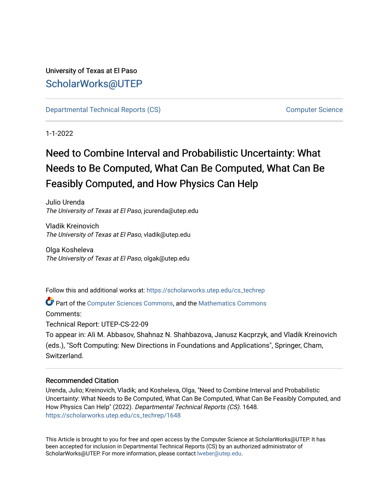## University of Texas at El Paso [ScholarWorks@UTEP](https://scholarworks.utep.edu/)

[Departmental Technical Reports \(CS\)](https://scholarworks.utep.edu/cs_techrep) [Computer Science](https://scholarworks.utep.edu/computer) 

1-1-2022

# Need to Combine Interval and Probabilistic Uncertainty: What Needs to Be Computed, What Can Be Computed, What Can Be Feasibly Computed, and How Physics Can Help

Julio Urenda The University of Texas at El Paso, jcurenda@utep.edu

Vladik Kreinovich The University of Texas at El Paso, vladik@utep.edu

Olga Kosheleva The University of Texas at El Paso, olgak@utep.edu

Follow this and additional works at: [https://scholarworks.utep.edu/cs\\_techrep](https://scholarworks.utep.edu/cs_techrep?utm_source=scholarworks.utep.edu%2Fcs_techrep%2F1648&utm_medium=PDF&utm_campaign=PDFCoverPages) 

Part of the [Computer Sciences Commons](http://network.bepress.com/hgg/discipline/142?utm_source=scholarworks.utep.edu%2Fcs_techrep%2F1648&utm_medium=PDF&utm_campaign=PDFCoverPages), and the [Mathematics Commons](http://network.bepress.com/hgg/discipline/174?utm_source=scholarworks.utep.edu%2Fcs_techrep%2F1648&utm_medium=PDF&utm_campaign=PDFCoverPages) 

Comments:

Technical Report: UTEP-CS-22-09

To appear in: Ali M. Abbasov, Shahnaz N. Shahbazova, Janusz Kacprzyk, and Vladik Kreinovich (eds.), "Soft Computing: New Directions in Foundations and Applications", Springer, Cham, Switzerland.

## Recommended Citation

Urenda, Julio; Kreinovich, Vladik; and Kosheleva, Olga, "Need to Combine Interval and Probabilistic Uncertainty: What Needs to Be Computed, What Can Be Computed, What Can Be Feasibly Computed, and How Physics Can Help" (2022). Departmental Technical Reports (CS). 1648. [https://scholarworks.utep.edu/cs\\_techrep/1648](https://scholarworks.utep.edu/cs_techrep/1648?utm_source=scholarworks.utep.edu%2Fcs_techrep%2F1648&utm_medium=PDF&utm_campaign=PDFCoverPages) 

This Article is brought to you for free and open access by the Computer Science at ScholarWorks@UTEP. It has been accepted for inclusion in Departmental Technical Reports (CS) by an authorized administrator of ScholarWorks@UTEP. For more information, please contact [lweber@utep.edu](mailto:lweber@utep.edu).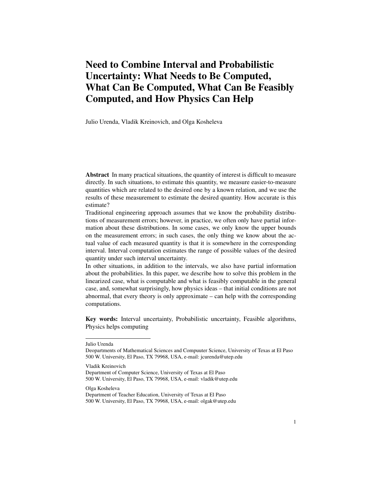## Need to Combine Interval and Probabilistic Uncertainty: What Needs to Be Computed, What Can Be Computed, What Can Be Feasibly Computed, and How Physics Can Help

Julio Urenda, Vladik Kreinovich, and Olga Kosheleva

Abstract In many practical situations, the quantity of interest is difficult to measure directly. In such situations, to estimate this quantity, we measure easier-to-measure quantities which are related to the desired one by a known relation, and we use the results of these measurement to estimate the desired quantity. How accurate is this estimate?

Traditional engineering approach assumes that we know the probability distributions of measurement errors; however, in practice, we often only have partial information about these distributions. In some cases, we only know the upper bounds on the measurement errors; in such cases, the only thing we know about the actual value of each measured quantity is that it is somewhere in the corresponding interval. Interval computation estimates the range of possible values of the desired quantity under such interval uncertainty.

In other situations, in addition to the intervals, we also have partial information about the probabilities. In this paper, we describe how to solve this problem in the linearized case, what is computable and what is feasibly computable in the general case, and, somewhat surprisingly, how physics ideas – that initial conditions are not abnormal, that every theory is only approximate – can help with the corresponding computations.

Key words: Interval uncertainty, Probabilistic uncertainty, Feasible algorithms, Physics helps computing

Julio Urenda

Vladik Kreinovich

Department of Computer Science, University of Texas at El Paso 500 W. University, El Paso, TX 79968, USA, e-mail: vladik@utep.edu

Olga Kosheleva

Deopartments of Mathematical Sciences and Compuuter Science, University of Texas at El Paso 500 W. University, El Paso, TX 79968, USA, e-mail: jcurenda@utep.edu

Department of Teacher Education, University of Texas at El Paso 500 W. University, El Paso, TX 79968, USA, e-mail: olgak@utep.edu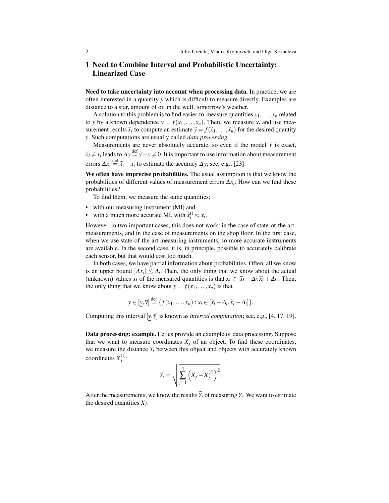## 1 Need to Combine Interval and Probabilistic Uncertainty: Linearized Case

Need to take uncertainty into account when processing data. In practice, we are often interested in a quantity *y* which is difficult to measure directly. Examples are distance to a star, amount of oil in the well, tomorrow's weather.

A solution to this problem is to find easier-to-measure quantities  $x_1, \ldots, x_n$  related to *y* by a known dependence  $y = f(x_1, \ldots, x_n)$ . Then, we measure  $x_i$  and use measurement results  $\tilde{x}_i$  to compute an estimate  $\tilde{y} = f(\tilde{x}_1, \ldots, \tilde{x}_n)$  for the desired quantity<br>y. Such computations are usually called *data processing y*. Such computations are usually called *data processing*.

Measurements are never absolutely accurate, so even if the model *f* is exact,  $\widetilde{x}_i \neq x_i$  leads to  $\Delta y \stackrel{\text{def}}{=} \widetilde{y} - y \neq 0$ . It is important to use information about measurement errors  $\Delta x_i \stackrel{\text{def}}{=} \tilde{x}_i - x_i$  to estimate the accuracy  $\Delta y$ ; see, e.g., [23].

We often have imprecise probabilities. The usual assumption is that we know the probabilities of different values of measurement errors ∆*x<sup>i</sup>* . How can we find these probabilities?

To find them, we measure the same quantities:

- with our measuring instrument (MI) and
- with a much more accurate MI, with  $\tilde{x}_i^{\text{st}} \approx x_i$ .

However, in two important cases, this does not work: in the case of state-of-the artmeasurements, and in the case of measurements on the shop floor. In the first case, when we use state-of-the-art measuring instruments, so more accurate instruments are available. In the second case, it is, in principle, possible to accurately calibrate each sensor, but that would cost too much.

In both cases, we have partial information about probabilities. Often, all we know is an upper bound  $|\Delta x_i| \leq \Delta_i$ . Then, the only thing that we know about the actual (unknown) values  $x_i$  of the measured quantities is that  $x_i \in [\tilde{x}_i - \Delta_i, \tilde{x}_i + \Delta_i]$ . Then, the only thing that we know about  $y = f(x_1, \ldots, x_n)$  is that

$$
y \in [\underline{y}, \overline{y}] \stackrel{\text{def}}{=} \{f(x_1, \ldots, x_n) : x_i \in [\widetilde{x}_i - \Delta_i, \widetilde{x}_i + \Delta_i] \}.
$$

Computing this interval [*y*, *y*] is known as *interval computation*; see, e.g., [4, 17, 19].

Data processing: example. Let us provide an example of data processing. Suppose that we want to measure coordinates  $X_j$  of an object. To find these coordinates, we measure the distance  $Y_i$  between this object and objects with accurately known coordinates  $X_i^{(i)}$ *j* :

$$
Y_i = \sqrt{\sum_{j=1}^{3} (X_j - X_j^{(i)})^2}.
$$

After the measurements, we know the results  $Y_i$  of measuring  $Y_i$ . We want to estimate the desired quantities  $X_j$ .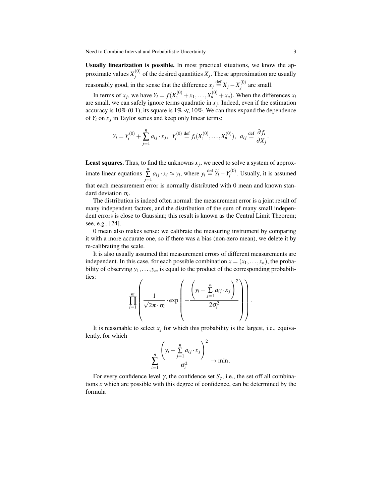Usually linearization is possible. In most practical situations, we know the approximate values  $X_i^{(0)}$  $j^{(0)}$  of the desired quantities  $X_j$ . These approximation are usually reasonably good, in the sense that the difference  $x_j \stackrel{\text{def}}{=} X_j - X_j^{(0)}$  $j^{(0)}$  are small.

In terms of  $x_j$ , we have  $Y_i = f(X_1^{(0)} + x_1, \ldots, X_n^{(0)} + x_n)$ . When the differences  $x_i$ are small, we can safely ignore terms quadratic in  $x_j$ . Indeed, even if the estimation accuracy is 10% (0.1), its square is  $1\% \ll 10\%$ . We can thus expand the dependence of  $Y_i$  on  $x_j$  in Taylor series and keep only linear terms:

$$
Y_i = Y_i^{(0)} + \sum_{j=1}^n a_{ij} \cdot x_j, \ \ Y_i^{(0)} \stackrel{\text{def}}{=} f_i(X_1^{(0)}, \dots, X_n^{(0)}), \ \ a_{ij} \stackrel{\text{def}}{=} \frac{\partial f_i}{\partial X_j}.
$$

**Least squares.** Thus, to find the unknowns  $x_j$ , we need to solve a system of approximate linear equations  $\sum_{n=1}^{\infty}$  $\sum_{j=1}^{n} a_{ij} \cdot x_i \approx y_i$ , where  $y_i \stackrel{\text{def}}{=} \widetilde{Y}_i - Y_i^{(0)}$  $\mathbf{v}_i^{(0)}$ . Usually, it is assumed that each measurement error is normally distributed with 0 mean and known standard deviation σ*<sup>i</sup>* .

The distribution is indeed often normal: the measurement error is a joint result of many independent factors, and the distribution of the sum of many small independent errors is close to Gaussian; this result is known as the Central Limit Theorem; see, e.g., [24].

0 mean also makes sense: we calibrate the measuring instrument by comparing it with a more accurate one, so if there was a bias (non-zero mean), we delete it by re-calibrating the scale.

It is also usually assumed that measurement errors of different measurements are independent. In this case, for each possible combination  $x = (x_1, \ldots, x_n)$ , the probability of observing  $y_1, \ldots, y_m$  is equal to the product of the corresponding probabilities:

$$
\prod_{i=1}^{m} \left( \frac{1}{\sqrt{2\pi} \cdot \sigma_i} \cdot \exp\left( - \frac{\left( y_i - \sum_{j=1}^{n} a_{ij} \cdot x_j \right)^2}{2\sigma_i^2} \right) \right).
$$

It is reasonable to select  $x_j$  for which this probability is the largest, i.e., equivalently, for which

$$
\sum_{i=1}^n \frac{\left(y_i - \sum_{j=1}^n a_{ij} \cdot x_j\right)^2}{\sigma_i^2} \to \min.
$$

For every confidence level γ, the confidence set  $S_\gamma$ , i.e., the set off all combinations *x* which are possible with this degree of confidence, can be determined by the formula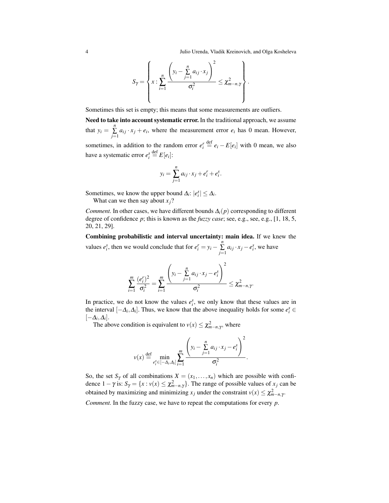$$
S_{\gamma} = \left\{ x : \sum_{i=1}^{n} \frac{\left( y_i - \sum_{j=1}^{n} a_{ij} \cdot x_j \right)^2}{\sigma_i^2} \leq \chi^2_{m-n,\gamma} \right\}.
$$

Sometimes this set is empty; this means that some measurements are outliers.

Need to take into account systematic error. In the traditional approach, we assume that  $y_i = \sum_{i=1}^{n}$  $\sum_{j=1}^{\infty} a_{ij} \cdot x_j + e_i$ , where the measurement error  $e_i$  has 0 mean. However, sometimes, in addition to the random error  $e_i^r \stackrel{\text{def}}{=} e_i - E[e_i]$  with 0 mean, we also have a systematic error  $e_i^s \stackrel{\text{def}}{=} E[e_i]$ :

$$
y_i = \sum_{j=1}^n a_{ij} \cdot x_j + e_i^r + e_i^s.
$$

Sometimes, we know the upper bound  $\Delta_i: |e_i^s| \leq \Delta_i$ .

What can we then say about  $x_i$ ?

*Comment.* In other cases, we have different bounds  $\Delta_i(p)$  corresponding to different degree of confidence *p*; this is known as the *fuzzy case*; see, e.g., see, e.g., [1, 18, 5, 20, 21, 29].

Combining probabilistic and interval uncertainty: main idea. If we knew the values  $e_i^s$ , then we would conclude that for  $e_i^r = y_i - \sum_{i=1}^{n}$  $\sum_{j=1}^{n} a_{ij} \cdot x_j - e_i^s$ , we have

$$
\sum_{i=1}^{m} \frac{(e_i^r)^2}{\sigma_i^2} = \sum_{i=1}^{m} \frac{\left(y_i - \sum_{j=1}^{n} a_{ij} \cdot x_j - e_i^s\right)^2}{\sigma_i^2} \leq \chi^2_{m-n,\gamma}.
$$

In practice, we do not know the values  $e_i^s$ , we only know that these values are in the interval  $[-\Delta_i, \Delta_i]$ . Thus, we know that the above inequality holds for some  $e_i^s \in$  $[-\Delta_i, \Delta_i].$ 

The above condition is equivalent to  $v(x) \leq \chi^2_{m-n,\gamma}$ , where

$$
v(x) \stackrel{\text{def}}{=} \min_{e_i^s \in [-\Delta_i, \Delta_i]} \sum_{i=1}^m \frac{\left(y_i - \sum_{j=1}^n a_{ij} \cdot x_j - e_i^s\right)^2}{\sigma_i^2}.
$$

So, the set  $S_\gamma$  of all combinations  $X = (x_1, \ldots, x_n)$  which are possible with confidence  $1 - \gamma$  is:  $S_{\gamma} = \{x : v(x) \leq \chi^2_{m-n,\gamma}\}$ . The range of possible values of  $x_j$  can be obtained by maximizing and minimizing  $x_j$  under the constraint  $v(x) \leq \chi^2_{m-n,\gamma}$ .

*Comment.* In the fuzzy case, we have to repeat the computations for every *p*.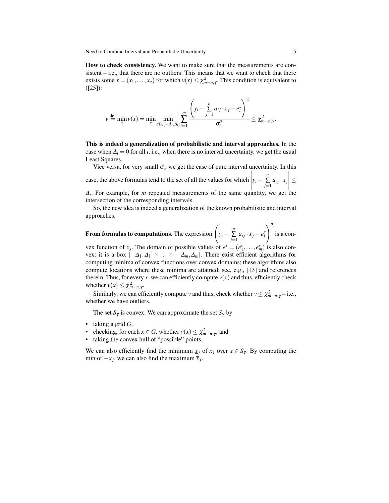How to check consistency. We want to make sure that the measurements are consistent – i.e., that there are no outliers. This means that we want to check that there exists some  $x = (x_1, \ldots, x_n)$  for which  $v(x) \leq \chi^2_{m-n, \gamma}$ . This condition is equivalent to ([25]):

$$
v \stackrel{\text{def}}{=} \min_{x} v(x) = \min_{x} \min_{e_i^s \in [-\Delta_i, \Delta_i]} \sum_{i=1}^m \frac{\left(y_i - \sum_{j=1}^n a_{ij} \cdot x_j - e_i^s\right)^2}{\sigma_i^2} \leq \chi^2_{m-n,\gamma}.
$$

This is indeed a generalization of probabilistic and interval approaches. In the case when  $\Delta_i = 0$  for all *i*, i.e., when there is no interval uncertainty, we get the usual Least Squares.

Vice versa, for very small  $\sigma_i$ , we get the case of pure interval uncertainty. In this case, the above formulas tend to the set of all the values for which  $y_i - \sum_{j=1}^n$  $\sum_{j=1}$   $a_{ij} \cdot x_j$     ≤

 $\Delta_i$ . For example, for *m* repeated measurements of the same quantity, we get the intersection of the corresponding intervals.

So, the new idea is indeed a generalization of the known probabilistic and interval approaches.

From formulas to computations. The expression  $\left(y_i - \frac{n}{2}\right)$  $\sum_{j=1}^n a_{ij} \cdot x_j - e_i^s$  $\setminus^2$ is a con-

vex function of  $x_j$ . The domain of possible values of  $e^s = (e_1^s, \ldots, e_m^s)$  is also convex: it is a box  $[-\Delta_1, \Delta_1] \times ... \times [-\Delta_m, \Delta_m]$ . There exist efficient algorithms for computing minima of convex functions over convex domains; these algorithms also compute locations where these minima are attained; see, e.g., [13] and references therein. Thus, for every *x*, we can efficiently compute  $v(x)$  and thus, efficiently check whether  $v(x) \leq \chi^2_{m-n,\gamma}$ .

Similarly, we can efficiently compute *v* and thus, check whether  $v \leq \chi^2_{m-n,\gamma}$  – i.e., whether we have outliers.

The set  $S_\gamma$  is convex. We can approximate the set  $S_\gamma$  by

- taking a grid *G*,
- checking, for each  $x \in G$ , whether  $v(x) \leq \chi^2_{m-n,\gamma}$ , and
- taking the convex hull of "possible" points.

We can also efficiently find the minimum  $\underline{x}_i$  of  $x_j$  over  $x \in S_\gamma$ . By computing the min of  $-x_j$ , we can also find the maximum  $\bar{x}_j$ .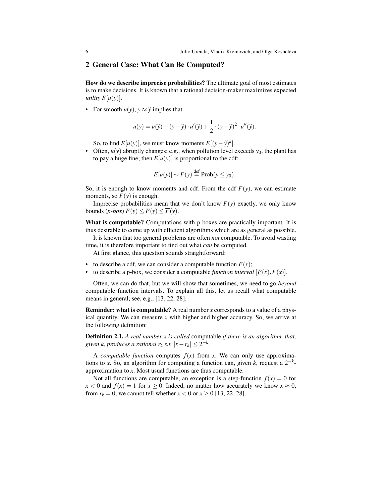## 2 General Case: What Can Be Computed?

How do we describe imprecise probabilities? The ultimate goal of most estimates is to make decisions. It is known that a rational decision-maker maximizes expected *utility*  $E[u(y)]$ .

• For smooth  $u(y)$ ,  $y \approx \tilde{y}$  implies that

$$
u(y) = u(\widetilde{y}) + (y - \widetilde{y}) \cdot u'(\widetilde{y}) + \frac{1}{2} \cdot (y - \widetilde{y})^2 \cdot u''(\widetilde{y}).
$$

So, to find  $E[u(y)]$ , we must know moments  $E[(y-\tilde{y})^k]$ .

• Often,  $u(y)$  abruptly changes: e.g., when pollution level exceeds  $y_0$ , the plant has to pay a huge fine; then  $E[u(y)]$  is proportional to the cdf:

$$
E[u(y)] \sim F(y) \stackrel{\text{def}}{=} \text{Prob}(y \le y_0).
$$

So, it is enough to know moments and cdf. From the cdf  $F(y)$ , we can estimate moments, so  $F(y)$  is enough.

Imprecise probabilities mean that we don't know  $F(y)$  exactly, we only know bounds  $(p-box) F(y) \leq F(y) \leq \overline{F}(y)$ .

What is computable? Computations with p-boxes are practically important. It is thus desirable to come up with efficient algorithms which are as general as possible.

It is known that too general problems are often *not* computable. To avoid wasting time, it is therefore important to find out what *can* be computed.

At first glance, this question sounds straightforward:

- to describe a cdf, we can consider a computable function  $F(x)$ ;
- to describe a p-box, we consider a computable *function interval*  $[F(x), \overline{F}(x)]$ .

Often, we can do that, but we will show that sometimes, we need to go *beyond* computable function intervals. To explain all this, let us recall what computable means in general; see, e.g., [13, 22, 28].

Reminder: what is computable? A real number *x* corresponds to a value of a physical quantity. We can measure *x* with higher and higher accuracy. So, we arrive at the following definition:

Definition 2.1. *A real number x is called* computable *if there is an algorithm, that, given k, produces a rational*  $r_k$  *<i>s.t.*  $|x - r_k| \leq 2^{-k}$ .

A *computable function* computes  $f(x)$  from *x*. We can only use approximations to *x*. So, an algorithm for computing a function can, given *k*, request a  $2^{-k}$ approximation to *x*. Most usual functions are thus computable.

Not all functions are computable, an exception is a step-function  $f(x) = 0$  for  $x < 0$  and  $f(x) = 1$  for  $x \ge 0$ . Indeed, no matter how accurately we know  $x \approx 0$ , from  $r_k = 0$ , we cannot tell whether  $x < 0$  or  $x \ge 0$  [13, 22, 28].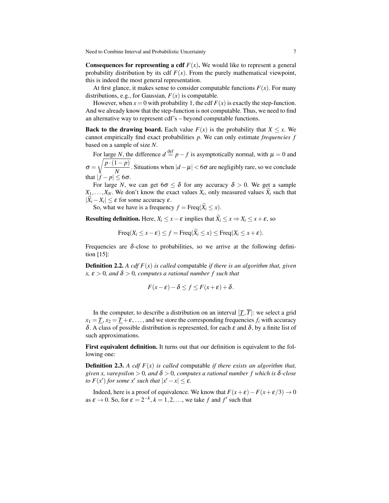**Consequences for representing a cdf**  $F(x)$ . We would like to represent a general probability distribution by its cdf  $F(x)$ . From the purely mathematical viewpoint, this is indeed the most general representation.

At first glance, it makes sense to consider computable functions  $F(x)$ . For many distributions, e.g., for Gaussian,  $F(x)$  is computable.

However, when  $x = 0$  with probability 1, the cdf  $F(x)$  is exactly the step-function. And we already know that the step-function is not computable. Thus, we need to find an alternative way to represent cdf's – beyond computable functions.

**Back to the drawing board.** Each value  $F(x)$  is the probability that  $X \leq x$ . We cannot empirically find exact probabilities *p*. We can only estimate *frequencies f* based on a sample of size *N*.

For large *N*, the difference  $d \stackrel{\text{def}}{=} p - f$  is asymptotically normal, with  $\mu = 0$  and  $\sigma =$  $\sqrt{p \cdot (1-p)}$  $\frac{P}{N}$ . Situations when  $|d - \mu| < 6\sigma$  are negligibly rare, so we conclude that  $|f - p| \leq 6\sigma$ .

For large *N*, we can get  $6\sigma \leq \delta$  for any accuracy  $\delta > 0$ . We get a sample  $X_1, \ldots, X_N$ . We don't know the exact values  $X_i$ , only measured values  $X_i$  such that  $|X_i - X_i| \leq \varepsilon$  for some accuracy  $\varepsilon$ .

So, what we have is a frequency  $f = \text{Freq}(\widetilde{X}_i \leq x)$ .

**Resulting definition.** Here,  $X_i \leq x - \varepsilon$  implies that  $\widetilde{X}_i \leq x \Rightarrow X_i \leq x + \varepsilon$ , so

 $Freq(X_i \le x - \varepsilon) \le f = Freq(\widetilde{X}_i \le x) \le Freq(X_i \le x + \varepsilon).$ 

Frequencies are  $\delta$ -close to probabilities, so we arrive at the following definition [15]:

Definition 2.2. *A cdf F*(*x*) *is called* computable *if there is an algorithm that, given*  $x, \varepsilon > 0$ , and  $\delta > 0$ , computes a rational number f such that

$$
F(x-\varepsilon)-\delta\leq f\leq F(x+\varepsilon)+\delta.
$$

In the computer, to describe a distribution on an interval  $[\underline{T}, \overline{T}]$ : we select a grid  $x_1 = T$ ,  $x_2 = T + \varepsilon$ , ..., and we store the corresponding frequencies  $f_i$  with accuracy δ. A class of possible distribution is represented, for each ε and δ, by a finite list of such approximations.

First equivalent definition. It turns out that our definition is equivalent to the following one:

**Definition 2.3.** A cdf  $F(x)$  is called computable *if there exists an algorithm that, given x, varepsilon*  $> 0$ *, and*  $\delta > 0$ *, computes a rational number f which is*  $\delta$ -*close to*  $F(x')$  *for some*  $x'$  *such that*  $|x'-x| \leq \varepsilon$ *.* 

Indeed, here is a proof of equivalence. We know that  $F(x+\varepsilon)-F(x+\varepsilon/3) \to 0$ as  $\varepsilon \to 0$ . So, for  $\varepsilon = 2^{-k}$ ,  $k = 1, 2, \dots$ , we take *f* and *f'* such that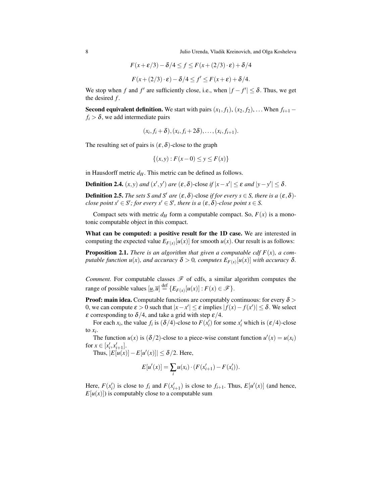8 Julio Urenda, Vladik Kreinovich, and Olga Kosheleva

$$
F(x+\varepsilon/3) - \delta/4 \le f \le F(x+(2/3) \cdot \varepsilon) + \delta/4
$$
  

$$
F(x+(2/3) \cdot \varepsilon) - \delta/4 \le f' \le F(x+\varepsilon) + \delta/4.
$$

We stop when *f* and *f'* are sufficiently close, i.e., when  $|f - f'| \le \delta$ . Thus, we get the desired *f* .

Second equivalent definition. We start with pairs  $(x_1, f_1)$ ,  $(x_2, f_2)$ , ... When  $f_{i+1}$  –  $f_i > \delta$ , we add intermediate pairs

$$
(x_i,f_i+\delta),(x_i,f_i+2\delta),\ldots,(x_i,f_{i+1}).
$$

The resulting set of pairs is  $(\varepsilon, \delta)$ -close to the graph

$$
\{(x, y) : F(x - 0) \le y \le F(x)\}\
$$

in Hausdorff metric  $d_H$ . This metric can be defined as follows.

**Definition 2.4.**  $(x, y)$  *and*  $(x', y')$  *are*  $(\varepsilon, \delta)$ -close *if*  $|x - x'| \leq \varepsilon$  *and*  $|y - y'| \leq \delta$ .

**Definition 2.5.** *The sets S and S' are*  $(\varepsilon, \delta)$ -close *if for every s*  $\in$  *S, there is a*  $(\varepsilon, \delta)$ *close point s'*  $\in$  *S';* for every s'  $\in$  *S', there is a*  $(\varepsilon, \delta)$ *-close point s*  $\in$  *S.* 

Compact sets with metric  $d_H$  form a computable compact. So,  $F(x)$  is a monotonic computable object in this compact.

What can be computed: a positive result for the 1D case. We are interested in computing the expected value  $E_{F(x)}[u(x)]$  for smooth  $u(x)$ . Our result is as follows:

**Proposition 2.1.** *There is an algorithm that given a computable cdf*  $F(x)$ *, a computable function u*(*x*), and accuracy  $\delta > 0$ , computes  $E_{F(x)}[u(x)]$  with accuracy  $\delta$ .

*Comment.* For computable classes  $\mathcal F$  of cdfs, a similar algorithm computes the range of possible values  $[u,\overline{u}] \stackrel{\text{def}}{=} \{E_{F(x)}[u(x)] : F(x) \in \mathcal{F}\}.$ 

**Proof: main idea.** Computable functions are computably continuous: for every  $\delta$  > 0, we can compute  $\varepsilon > 0$  such that  $|x - x'| \le \varepsilon$  implies  $|f(x) - f(x')| \le \delta$ . We select  $\varepsilon$  corresponding to  $\delta/4$ , and take a grid with step  $\varepsilon/4$ .

For each *x<sub>i</sub>*, the value  $f_i$  is  $(\delta/4)$ -close to  $F(x'_i)$  for some  $x'_i$  which is  $(\varepsilon/4)$ -close to  $x_i$ .

The function  $u(x)$  is  $(\delta/2)$ -close to a piece-wise constant function  $u'(x) = u(x_i)$ for  $x \in [x'_i, x'_{i+1}]$ .

Thus,  $|E[u(x)] - E[u'(x)]| \le \delta/2$ . Here,

$$
E[u'(x)] = \sum_{i} u(x_i) \cdot (F(x'_{i+1}) - F(x'_i)).
$$

Here,  $F(x_i')$  is close to  $f_i$  and  $F(x_{i+1}')$  is close to  $f_{i+1}$ . Thus,  $E[u'(x)]$  (and hence,  $E[u(x)]$ ) is computably close to a computable sum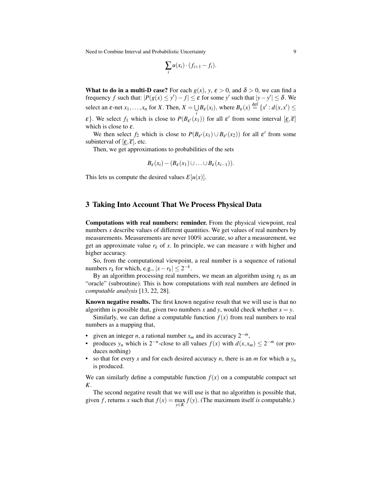$$
\sum_i u(x_i) \cdot (f_{i+1} - f_i).
$$

What to do in a multi-D case? For each  $g(x)$ ,  $y$ ,  $\varepsilon > 0$ , and  $\delta > 0$ , we can find a frequency *f* such that:  $|P(g(x) \le y') - f| \le \varepsilon$  for some *y'* such that  $|y - y'| \le \delta$ . We select an  $\varepsilon$ -net  $x_1, \ldots, x_n$  for *X*. Then,  $X = \bigcup B_{\varepsilon}(x_i)$ , where  $B_{\varepsilon}(x) \stackrel{\text{def}}{=} \{x' : d(x, x') \leq$ 

ε}. We select *f*<sub>1</sub> which is close to  $P(B_{\varepsilon'}(x_1))$  for all  $\varepsilon'$  from some interval  $[\underline{\varepsilon}, \overline{\varepsilon}]$ which is close to  $\varepsilon$ .

We then select  $f_2$  which is close to  $P(B_{\varepsilon'}(x_1) \cup B_{\varepsilon'}(x_2))$  for all  $\varepsilon'$  from some subinterval of  $[\varepsilon, \overline{\varepsilon}]$ , etc.

Then, we get approximations to probabilities of the sets

$$
B_{\varepsilon}(x_i) - (B_{\varepsilon}(x_1) \cup ... \cup B_{\varepsilon}(x_{i-1})).
$$

This lets us compute the desired values  $E[u(x)]$ .

## 3 Taking Into Account That We Process Physical Data

Computations with real numbers: reminder. From the physical viewpoint, real numbers *x* describe values of different quantities. We get values of real numbers by measurements. Measurements are never 100% accurate, so after a measurement, we get an approximate value  $r_k$  of x. In principle, we can measure x with higher and higher accuracy.

So, from the computational viewpoint, a real number is a sequence of rational numbers  $r_k$  for which, e.g.,  $|x - r_k| \leq 2^{-k}$ .

By an algorithm processing real numbers, we mean an algorithm using  $r_k$  as an "oracle" (subroutine). This is how computations with real numbers are defined in *computable analysis* [13, 22, 28].

Known negative results. The first known negative result that we will use is that no algorithm is possible that, given two numbers *x* and *y*, would check whether  $x = y$ .

Similarly, we can define a computable function  $f(x)$  from real numbers to real numbers as a mapping that,

- given an integer *n*, a rational number  $x_m$  and its accuracy  $2^{-m}$ ,
- produces  $y_n$  which is  $2^{-n}$ -close to all values  $f(x)$  with  $d(x, x_m) \leq 2^{-m}$  (or produces nothing)
- so that for every x and for each desired accuracy *n*, there is an *m* for which a  $y_n$ is produced.

We can similarly define a computable function  $f(x)$  on a computable compact set *K*.

The second negative result that we will use is that no algorithm is possible that, given *f*, returns *x* such that  $f(x) = \max f(y)$ . (The maximum itself *is* computable.) *y*∈*K*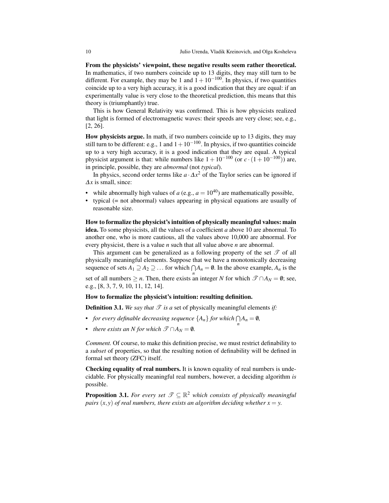From the physicists' viewpoint, these negative results seem rather theoretical. In mathematics, if two numbers coincide up to 13 digits, they may still turn to be different. For example, they may be 1 and  $1+10^{-100}$ . In physics, if two quantities coincide up to a very high accuracy, it is a good indication that they are equal: if an experimentally value is very close to the theoretical prediction, this means that this theory is (triumphantly) true.

This is how General Relativity was confirmed. This is how physicists realized that light is formed of electromagnetic waves: their speeds are very close; see, e.g., [2, 26].

How physicists argue. In math, if two numbers coincide up to 13 digits, they may still turn to be different: e.g., 1 and  $1+10^{-100}$ . In physics, if two quantities coincide up to a very high accuracy, it is a good indication that they are equal. A typical physicist argument is that: while numbers like  $1 + 10^{-100}$  (or  $c \cdot (1 + 10^{-100})$ ) are, in principle, possible, they are *abnormal* (not *typical*).

In physics, second order terms like *a* ·∆*x* <sup>2</sup> of the Taylor series can be ignored if ∆*x* is small, since:

- while abnormally high values of  $a$  (e.g.,  $a = 10^{40}$ ) are mathematically possible,
- typical (= not abnormal) values appearing in physical equations are usually of reasonable size.

How to formalize the physicist's intuition of physically meaningful values: main idea. To some physicists, all the values of a coefficient *a* above 10 are abnormal. To another one, who is more cautious, all the values above 10,000 are abnormal. For every physicist, there is a value *n* such that all value above *n* are abnormal.

This argument can be generalized as a following property of the set  $\mathscr T$  of all physically meaningful elements. Suppose that we have a monotonically decreasing sequence of sets  $A_1 \supseteq A_2 \supseteq \ldots$  for which  $\bigcap A_n = \emptyset$ . In the above example,  $A_n$  is the set of all numbers  $\geq n$ . Then, there exists an integer *N* for which  $\mathscr{T} \cap A_N = \emptyset$ ; see, e.g., [8, 3, 7, 9, 10, 11, 12, 14].

#### How to formalize the physicist's intuition: resulting definition.

**Definition 3.1.** We say that  $\mathcal{T}$  is a set of physically meaningful elements if:

- *for every definable decreasing sequence*  $\{A_n\}$  *for which*  $\bigcap_{n} A_n = \emptyset$ ,
- *there exists an N for which*  $\mathscr{T} \cap A_N = \emptyset$ *.*

*Comment.* Of course, to make this definition precise, we must restrict definability to a *subset* of properties, so that the resulting notion of definability will be defined in formal set theory (ZFC) itself.

Checking equality of real numbers. It is known equality of real numbers is undecidable. For physically meaningful real numbers, however, a deciding algorithm *is* possible.

**Proposition 3.1.** For every set  $\mathcal{T} \subseteq \mathbb{R}^2$  which consists of physically meaningful *pairs*  $(x, y)$  *of real numbers, there exists an algorithm deciding whether*  $x = y$ .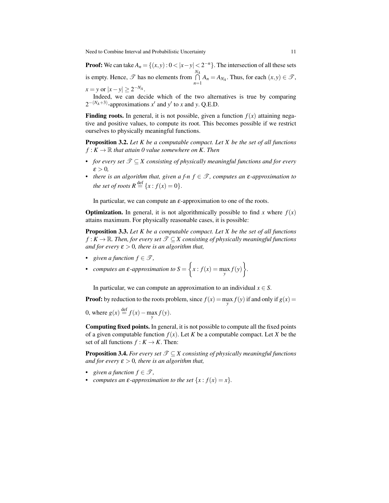**Proof:** We can take  $A_n = \{(x, y): 0 < |x - y| < 2^{-n}\}$ . The intersection of all these sets is empty. Hence,  $\mathscr T$  has no elements from  $\bigcap^{N_A}$  $\bigcap_{n=1} A_n = A_{N_A}$ . Thus, for each  $(x, y) \in \mathcal{T}$ ,

 $x = y$  or  $|x - y| \ge 2^{-N_A}$ .

Indeed, we can decide which of the two alternatives is true by comparing  $2^{-(N_A+3)}$ -approximations  $x'$  and  $y'$  to *x* and *y*. Q.E.D.

**Finding roots.** In general, it is not possible, given a function  $f(x)$  attaining negative and positive values, to compute its root. This becomes possible if we restrict ourselves to physically meaningful functions.

Proposition 3.2. *Let K be a computable compact. Let X be the set of all functions*  $f: K \to \mathbb{R}$  *that attain 0 value somewhere on K. Then* 

- *for every set*  $\mathcal{T} \subset X$  consisting of physically meaningful functions and for every  $\varepsilon > 0$ ,
- **•** *there is an algorithm that, given a f-n*  $f \in \mathcal{T}$ *, computes an*  $\varepsilon$ *-approximation to the set of roots*  $R \stackrel{\text{def}}{=} \{x : f(x) = 0\}.$

In particular, we can compute an  $\varepsilon$ -approximation to one of the roots.

**Optimization.** In general, it is not algorithmically possible to find *x* where  $f(x)$ attains maximum. For physically reasonable cases, it is possible:

Proposition 3.3. *Let K be a computable compact. Let X be the set of all functions f* : *K* →  $\mathbb{R}$ *. Then, for every set*  $\mathcal{T} \subseteq X$  consisting of physically meaningful functions *and for every*  $\varepsilon > 0$ *, there is an algorithm that,* 

• *given a function*  $f \in \mathcal{T}$ *,* 

• computes an 
$$
\varepsilon
$$
-approximation to  $S = \left\{ x : f(x) = \max_{y} f(y) \right\}.$ 

In particular, we can compute an approximation to an individual  $x \in S$ .

**Proof:** by reduction to the roots problem, since  $f(x) = \max_{y} f(y)$  if and only if  $g(x) =$ 

0, where  $g(x) \stackrel{\text{def}}{=} f(x) - \max_{y} f(y)$ .

Computing fixed points. In general, it is not possible to compute all the fixed points of a given computable function  $f(x)$ . Let *K* be a computable compact. Let *X* be the set of all functions  $f: K \to K$ . Then:

**Proposition 3.4.** *For every set*  $\mathcal{T} \subseteq X$  consisting of physically meaningful functions *and for every*  $\varepsilon > 0$ *, there is an algorithm that,* 

- *given a function*  $f \in \mathcal{T}$ ,
- *computes an*  $\varepsilon$ *-approximation to the set*  $\{x : f(x) = x\}$ *.*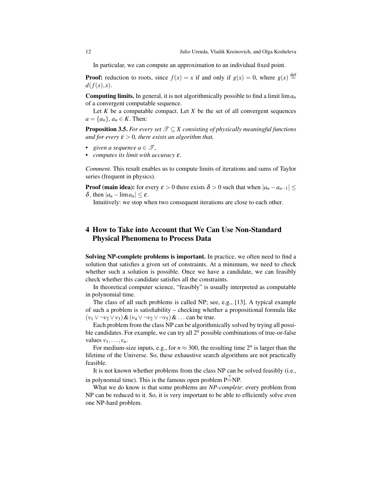In particular, we can compute an approximation to an individual fixed point.

**Proof:** reduction to roots, since  $f(x) = x$  if and only if  $g(x) = 0$ , where  $g(x) \stackrel{\text{def}}{=}$  $d(f(x), x)$ .

Computing limits. In general, it is not algorithmically possible to find a limit lim*a<sup>n</sup>* of a convergent computable sequence.

Let  $K$  be a computable compact. Let  $X$  be the set of all convergent sequences  $a = \{a_n\}, a_n \in K$ . Then:

**Proposition 3.5.** *For every set*  $\mathcal{T} \subseteq X$  consisting of physically meaningful functions *and for every*  $\varepsilon > 0$ , there exists an algorithm that,

- *given a sequence*  $a \in \mathcal{T}$ *,*
- *• computes its limit with accuracy* ε*.*

*Comment.* This result enables us to compute limits of iterations and sums of Taylor series (frequent in physics).

**Proof (main idea):** for every  $\varepsilon > 0$  there exists  $\delta > 0$  such that when  $|a_n - a_{n-1}| \leq$ δ, then  $|a_n - \lim a_n|$  ≤ ε.

Intuitively: we stop when two consequent iterations are close to each other.

## 4 How to Take into Account that We Can Use Non-Standard Physical Phenomena to Process Data

Solving NP-complete problems is important. In practice, we often need to find a solution that satisfies a given set of constraints. At a minimum, we need to check whether such a solution is possible. Once we have a candidate, we can feasibly check whether this candidate satisfies all the constraints.

In theoretical computer science, "feasibly" is usually interpreted as computable in polynomial time.

The class of all such problems is called NP; see, e.g., [13]. A typical example of such a problem is satisfiability – checking whether a propositional formula like (*v*<sup>1</sup> ∨ ¬*v*<sup>2</sup> ∨*v*3)&(*v*<sup>4</sup> ∨ ¬*v*<sup>2</sup> ∨ ¬*v*5)& ... can be true.

Each problem from the class NP can be algorithmically solved by trying all possible candidates. For example, we can try all 2*<sup>n</sup>* possible combinations of true-or-false values  $v_1, \ldots, v_n$ .

For medium-size inputs, e.g., for  $n \approx 300$ , the resulting time  $2^n$  is larger than the lifetime of the Universe. So, these exhaustive search algorithms are not practically feasible.

It is not known whether problems from the class NP can be solved feasibly (i.e., in polynomial time). This is the famous open problem  $P^2 = NP$ .

What we do know is that some problems are *NP-complete*: every problem from NP can be reduced to it. So, it is very important to be able to efficiently solve even one NP-hard problem.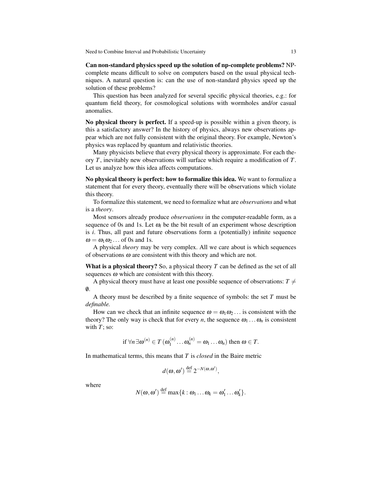Can non-standard physics speed up the solution of np-complete problems? NPcomplete means difficult to solve on computers based on the usual physical techniques. A natural question is: can the use of non-standard physics speed up the solution of these problems?

This question has been analyzed for several specific physical theories, e.g.: for quantum field theory, for cosmological solutions with wormholes and/or casual anomalies.

No physical theory is perfect. If a speed-up is possible within a given theory, is this a satisfactory answer? In the history of physics, always new observations appear which are not fully consistent with the original theory. For example, Newton's physics was replaced by quantum and relativistic theories.

Many physicists believe that every physical theory is approximate. For each theory *T*, inevitably new observations will surface which require a modification of *T*. Let us analyze how this idea affects computations.

No physical theory is perfect: how to formalize this idea. We want to formalize a statement that for every theory, eventually there will be observations which violate this theory.

To formalize this statement, we need to formalize what are *observations* and what is a *theory*.

Most sensors already produce *observations* in the computer-readable form, as a sequence of 0s and 1s. Let  $\omega_i$  be the bit result of an experiment whose description is *i*. Thus, all past and future observations form a (potentially) infinite sequence  $\omega = \omega_1 \omega_2 \dots$  of 0s and 1s.

A physical *theory* may be very complex. All we care about is which sequences of observations  $\omega$  are consistent with this theory and which are not.

What is a physical theory? So, a physical theory *T* can be defined as the set of all sequences  $\omega$  which are consistent with this theory.

A physical theory must have at least one possible sequence of observations:  $T \neq$  $\emptyset$ .

A theory must be described by a finite sequence of symbols: the set *T* must be *definable.*

How can we check that an infinite sequence  $\omega = \omega_1 \omega_2 \dots$  is consistent with the theory? The only way is check that for every *n*, the sequence  $\omega_1 \dots \omega_n$  is consistent with  $T$ ; so:

if 
$$
\forall n \exists \omega^{(n)} \in T(\omega_1^{(n)} \dots \omega_n^{(n)} = \omega_1 \dots \omega_n)
$$
 then  $\omega \in T$ .

In mathematical terms, this means that *T* is *closed* in the Baire metric

$$
d(\omega, \omega') \stackrel{\text{def}}{=} 2^{-N(\omega, \omega')},
$$

where

$$
N(\boldsymbol{\omega},\boldsymbol{\omega}') \stackrel{\text{def}}{=} \max\{k:\boldsymbol{\omega}_1\ldots\boldsymbol{\omega}_k=\boldsymbol{\omega}'_1\ldots\boldsymbol{\omega}'_k\}.
$$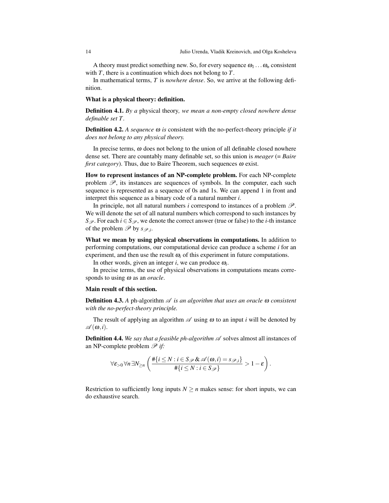A theory must predict something new. So, for every sequence  $\omega_1 \dots \omega_n$  consistent with *T*, there is a continuation which does not belong to *T*.

In mathematical terms, *T* is *nowhere dense*. So, we arrive at the following definition.

#### What is a physical theory: definition.

Definition 4.1. *By a* physical theory*, we mean a non-empty closed nowhere dense definable set T .*

**Definition 4.2.** A sequence  $\omega$  is consistent with the no-perfect-theory principle *if* it *does not belong to any physical theory.*

In precise terms,  $\omega$  does not belong to the union of all definable closed nowhere dense set. There are countably many definable set, so this union is *meager* (= *Baire first category*). Thus, due to Baire Theorem, such sequences ω exist.

How to represent instances of an NP-complete problem. For each NP-complete problem  $\mathscr{P}$ , its instances are sequences of symbols. In the computer, each such sequence is represented as a sequence of 0s and 1s. We can append 1 in front and interpret this sequence as a binary code of a natural number *i*.

In principle, not all natural numbers  $i$  correspond to instances of a problem  $\mathscr{P}$ . We will denote the set of all natural numbers which correspond to such instances by *S*<sub>P</sub>. For each *i* ∈ *S*<sub>P</sub>, we denote the correct answer (true or false) to the *i*-th instance of the problem  $\mathscr P$  by  $s_{\mathscr P,i}$ .

What we mean by using physical observations in computations. In addition to performing computations, our computational device can produce a scheme *i* for an experiment, and then use the result  $\omega_i$  of this experiment in future computations.

In other words, given an integer  $i$ , we can produce  $\omega_i$ .

In precise terms, the use of physical observations in computations means corresponds to using ω as an *oracle*.

#### Main result of this section.

**Definition 4.3.** A ph-algorithm  $\mathscr A$  *is an algorithm that uses an oracle*  $\omega$  *consistent with the no-perfect-theory principle.*

The result of applying an algorithm  $\mathscr A$  using  $\omega$  to an input *i* will be denoted by  $\mathscr{A}(\omega,i).$ 

**Definition 4.4.** We say that a feasible ph-algorithm  $\mathscr A$  solves almost all instances of an NP-complete problem  $\mathscr{P}$  if:

$$
\forall \varepsilon_{>0} \forall n \, \exists N_{\geq n} \left( \frac{\#\{i \leq N : i \in S_{\mathscr{P}} \& \mathscr{A}(\omega, i) = s_{\mathscr{P}, i}\}}{\#\{i \leq N : i \in S_{\mathscr{P}}\}} > 1 - \varepsilon \right).
$$

Restriction to sufficiently long inputs  $N \ge n$  makes sense: for short inputs, we can do exhaustive search.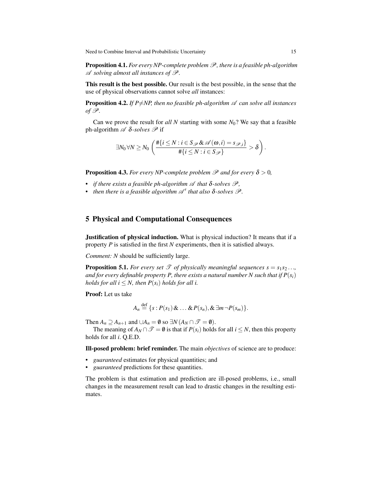Proposition 4.1. *For every NP-complete problem* P*, there is a feasible ph-algorithm* A *solving almost all instances of* P*.*

This result is the best possible. Our result is the best possible, in the sense that the use of physical observations cannot solve *all* instances:

**Proposition 4.2.** *If P* $\neq$ *NP*, then no feasible ph-algorithm  $\mathscr A$  can solve all instances *of*  $\mathscr{P}$ *.* 

Can we prove the result for *all N* starting with some *N*0? We say that a feasible ph-algorithm  $\mathscr A$   $\delta$ -solves  $\mathscr P$  if

$$
\exists N_0 \forall N \geq N_0 \left( \frac{\#\{i \leq N : i \in S_{\mathscr{P}} \& \mathscr{A}(\boldsymbol{\omega}, i) = s_{\mathscr{P}, i}\}}{\#\{i \leq N : i \in S_{\mathscr{P}}\}} > \delta \right).
$$

**Proposition 4.3.** *For every NP-complete problem*  $\mathcal P$  *and for every*  $\delta > 0$ *,* 

- **•** *if there exists a feasible ph-algorithm*  $\mathscr A$  *that*  $\delta$ -solves  $\mathscr P$ *,*
- **•** *then there is a feasible algorithm*  $\mathscr{A}'$  *that also*  $\delta$ *-solves*  $\mathscr{P}$ *.*

## 5 Physical and Computational Consequences

Justification of physical induction. What is physical induction? It means that if a property *P* is satisfied in the first *N* experiments, then it is satisfied always.

*Comment: N* should be sufficiently large.

**Proposition 5.1.** *For every set*  $\mathcal{T}$  *of physically meaningful sequences*  $s = s_1 s_2 \dots$ *and for every definable property P, there exists a natural number N such that if*  $P(s_i)$ *holds for all*  $i \leq N$ *, then*  $P(s_i)$  *holds for all i.* 

Proof: Let us take

$$
A_n \stackrel{\text{def}}{=} \{s : P(s_1) \& \dots \& P(s_n), \& \exists m \neg P(s_m)\}.
$$

Then  $A_n \supseteq A_{n+1}$  and  $\bigcup A_n = \emptyset$  so  $\exists N (A_N \cap \mathcal{T} = \emptyset)$ .

The meaning of  $A_N \cap \mathcal{T} = \emptyset$  is that if  $P(s_i)$  holds for all  $i \leq N$ , then this property holds for all *i*. Q.E.D.

Ill-posed problem: brief reminder. The main *objectives* of science are to produce:

- *guaranteed* estimates for physical quantities; and
- *guaranteed* predictions for these quantities.

The problem is that estimation and prediction are ill-posed problems, i.e., small changes in the measurement result can lead to drastic changes in the resulting estimates.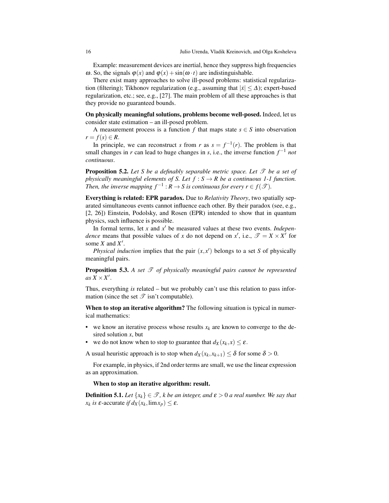Example: measurement devices are inertial, hence they suppress high frequencies ω. So, the signals  $φ(x)$  and  $φ(x) + sin(ω · t)$  are indistinguishable.

There exist many approaches to solve ill-posed problems: statistical regularization (filtering); Tikhonov regularization (e.g., assuming that  $|\dot{x}| \leq \Delta$ ); expert-based regularization, etc.; see, e.g., [27]. The main problem of all these approaches is that they provide no guaranteed bounds.

On physically meaningful solutions, problems become well-posed. Indeed, let us consider state estimation – an ill-posed problem.

A measurement process is a function  $f$  that maps state  $s \in S$  into observation  $r = f(s) \in R$ .

In principle, we can reconstruct *s* from *r* as  $s = f^{-1}(r)$ . The problem is that small changes in *r* can lead to huge changes in *s*, i.e., the inverse function *f* <sup>−</sup><sup>1</sup> *not continuous*.

**Proposition 5.2.** Let S be a definably separable metric space. Let  $\mathcal{T}$  be a set of *physically meaningful elements of S. Let*  $f : S \to R$  *be a continuous 1-1 function. Then, the inverse mapping*  $f^{-1}: R \to S$  *is continuous for every*  $r \in f(\mathcal{T})$ *.* 

Everything is related: EPR paradox. Due to *Relativity Theory*, two spatially separated simultaneous events cannot influence each other. By their paradox (see, e.g., [2, 26]) Einstein, Podolsky, and Rosen (EPR) intended to show that in quantum physics, such influence is possible.

In formal terms, let *x* and *x* ′ be measured values at these two events. *Independence* means that possible values of *x* do not depend on *x*<sup>*l*</sup>, i.e.,  $\mathscr{T} = X \times X'$  for some *X* and *X* ′ .

*Physical induction* implies that the pair  $(x, x')$  belongs to a set *S* of physically meaningful pairs.

**Proposition 5.3.** A set  $\mathcal T$  of physically meaningful pairs cannot be represented  $as X \times X'$ .

Thus, everything *is* related – but we probably can't use this relation to pass information (since the set  $\mathscr T$  isn't computable).

When to stop an iterative algorithm? The following situation is typical in numerical mathematics:

- we know an iterative process whose results  $x_k$  are known to converge to the desired solution *x*, but
- we do not know when to stop to guarantee that  $d_X(x_k, x) \leq \varepsilon$ .

A usual heuristic approach is to stop when  $d_X(x_k, x_{k+1}) \leq \delta$  for some  $\delta > 0$ .

For example, in physics, if 2nd order terms are small, we use the linear expression as an approximation.

#### When to stop an iterative algorithm: result.

**Definition 5.1.** *Let*  $\{x_k\} \in \mathcal{T}$ , *k be an integer, and*  $\epsilon > 0$  *a real number. We say that x*<sub>*k*</sub> is  $\varepsilon$ -accurate *if*  $d_X(x_k, \lim x_p) \leq \varepsilon$ .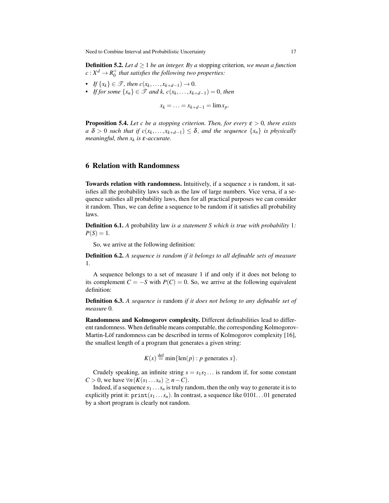**Definition 5.2.** *Let*  $d \geq 1$  *be an integer. By a stopping criterion, we mean a function*  $c: X^d \to R_0^+$  that satisfies the following two properties:

- *If*  $\{x_k\} \in \mathcal{T}$ *, then*  $c(x_k, ..., x_{k+d-1}) \to 0$ *.*
- *• If for some*  $\{x_n\}$  ∈  $\mathcal{T}$  *and k, c*( $x_k$ , ..., $x_{k+d-1}$ ) = 0, *then*

 $x_k = \ldots = x_{k+d-1} = \lim x_p$ .

**Proposition 5.4.** *Let c be a stopping criterion. Then, for every*  $\varepsilon > 0$ *, there exists*  $a \delta > 0$  *such that if*  $c(x_k, \ldots, x_{k+d-1}) \leq \delta$ , and the sequence  $\{x_n\}$  *is physically meaningful, then x<sup>k</sup> is* ε*-accurate.*

## 6 Relation with Randomness

Towards relation with randomness. Intuitively, if a sequence *s* is random, it satisfies all the probability laws such as the law of large numbers. Vice versa, if a sequence satisfies all probability laws, then for all practical purposes we can consider it random. Thus, we can define a sequence to be random if it satisfies all probability laws.

Definition 6.1. *A* probability law *is a statement S which is true with probability* 1*:*  $P(S) = 1$ .

So, we arrive at the following definition:

Definition 6.2. *A sequence is random if it belongs to all definable sets of measure* 1*.*

A sequence belongs to a set of measure 1 if and only if it does not belong to its complement  $C = -S$  with  $P(C) = 0$ . So, we arrive at the following equivalent definition:

Definition 6.3. *A sequence is* random *if it does not belong to any definable set of measure* 0*.*

Randomness and Kolmogorov complexity. Different definabilities lead to different randomness. When definable means computable, the corresponding Kolmogorov-Martin-Löf randomness can be described in terms of Kolmogorov complexity [16], the smallest length of a program that generates a given string:

$$
K(x) \stackrel{\text{def}}{=} \min\{\text{len}(p) : p \text{ generates } x\}.
$$

Crudely speaking, an infinite string  $s = s_1 s_2 \dots$  is random if, for some constant  $C > 0$ , we have  $\forall n (K(s_1 \dots s_n) \geq n - C)$ .

Indeed, if a sequence  $s_1 \ldots s_n$  is truly random, then the only way to generate it is to explicitly print it:  $\text{print}(s_1 \ldots s_n)$ . In contrast, a sequence like 0101. . . 01 generated by a short program is clearly not random.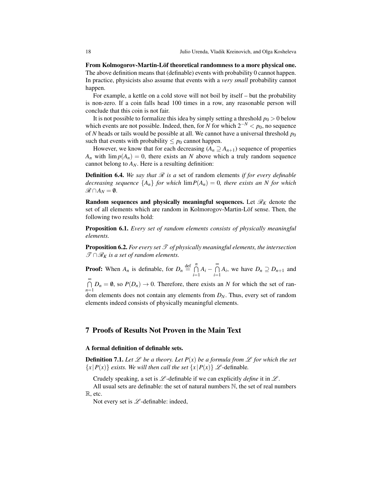From Kolmogorov-Martin-Löf theoretical randomness to a more physical one. The above definition means that (definable) events with probability 0 cannot happen. In practice, physicists also assume that events with a *very small* probability cannot happen.

For example, a kettle on a cold stove will not boil by itself – but the probability is non-zero. If a coin falls head 100 times in a row, any reasonable person will conclude that this coin is not fair.

It is not possible to formalize this idea by simply setting a threshold  $p_0 > 0$  below which events are not possible. Indeed, then, for *N* for which  $2^{-N} < p_0$ , no sequence of *N* heads or tails would be possible at all. We cannot have a universal threshold  $p_0$ such that events with probability  $\leq p_0$  cannot happen.

However, we know that for each decreasing  $(A_n \supseteq A_{n+1})$  sequence of properties  $A_n$  with  $\lim p(A_n) = 0$ , there exists an *N* above which a truly random sequence cannot belong to  $A_N$ . Here is a resulting definition:

**Definition 6.4.** We say that  $\mathcal{R}$  is a set of random elements if for every definable *decreasing sequence*  ${A_n}$  *for which*  $\lim P(A_n) = 0$ *, there exists an N for which*  $\mathscr{R} \cap A_N = ∅$ .

Random sequences and physically meaningful sequences. Let  $\mathcal{R}_K$  denote the set of all elements which are random in Kolmorogov-Martin-Löf sense. Then, the following two results hold:

Proposition 6.1. *Every set of random elements consists of physically meaningful elements.*

**Proposition 6.2.** For every set  $\mathcal T$  of physically meaningful elements, the intersection  $\mathscr{T} \cap \mathscr{R}_K$  *is a set of random elements.* 

**Proof:** When  $A_n$  is definable, for  $D_n \stackrel{\text{def}}{=} \bigcap_{n=1}^n$  $\bigcap_{i=1}^n A_i - \bigcap_{i=1}^\infty$  $\bigcap_{i=1}$  *A<sub>i</sub>*, we have  $D_n \supseteq D_{n+1}$  and  $\bigcap_{n=0}^{\infty} D_n = \emptyset$ , so  $P(D_n) \to 0$ . Therefore, there exists an *N* for which the set of ran-

*n*=1 dom elements does not contain any elements from *DN*. Thus, every set of random elements indeed consists of physically meaningful elements.

## 7 Proofs of Results Not Proven in the Main Text

#### A formal definition of definable sets.

**Definition 7.1.** Let  $\mathcal{L}$  be a theory. Let  $P(x)$  be a formula from  $\mathcal{L}$  for which the set  ${x | P(x)}$  *exists. We will then call the set*  ${x | P(x)}$  *L* -definable.

Crudely speaking, a set is  $\mathscr L$ -definable if we can explicitly *define* it in  $\mathscr L$ .

All usual sets are definable: the set of natural numbers  $\mathbb N$ , the set of real numbers R, etc.

Not every set is  $\mathscr L$ -definable: indeed,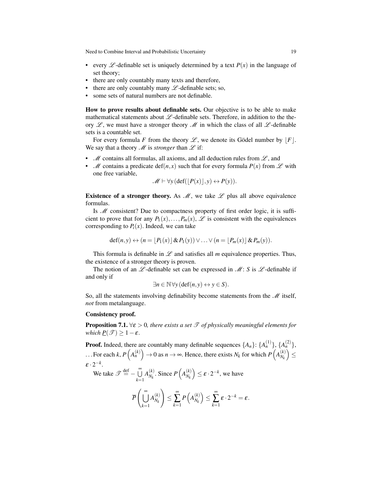- every  $\mathscr L$ -definable set is uniquely determined by a text  $P(x)$  in the language of set theory;
- there are only countably many texts and therefore,
- there are only countably many  $\mathscr L$ -definable sets; so,
- some sets of natural numbers are not definable.

How to prove results about definable sets. Our objective is to be able to make mathematical statements about  $\mathcal{L}$ -definable sets. Therefore, in addition to the theory  $\mathscr{L}$ , we must have a stronger theory  $\mathscr{M}$  in which the class of all  $\mathscr{L}$ -definable sets is a countable set.

For every formula *F* from the theory  $\mathscr{L}$ , we denote its Gödel number by  $|F|$ . We say that a theory  $\mathcal M$  is *stronger* than  $\mathcal L$  if:

- $\mathcal M$  contains all formulas, all axioms, and all deduction rules from  $\mathcal L$ , and
- *M* contains a predicate def(*n*, *x*) such that for every formula  $P(x)$  from  $\mathscr L$  with one free variable,

$$
\mathscr{M} \vdash \forall y (\text{def}(\lfloor P(x)\rfloor, y) \leftrightarrow P(y)).
$$

Existence of a stronger theory. As  $\mathcal{M}$ , we take  $\mathcal L$  plus all above equivalence formulas.

Is *M* consistent? Due to compactness property of first order logic, it is sufficient to prove that for any  $P_1(x),...,P_m(x), \mathscr{L}$  is consistent with the equivalences corresponding to  $P_i(x)$ . Indeed, we can take

$$
\operatorname{def}(n, y) \leftrightarrow (n = [P_1(x)] \& P_1(y)) \vee \ldots \vee (n = [P_m(x)] \& P_m(y)).
$$

This formula is definable in  $\mathscr L$  and satisfies all *m* equivalence properties. Thus, the existence of a stronger theory is proven.

The notion of an  $\mathscr L$ -definable set can be expressed in  $\mathscr M: S$  is  $\mathscr L$ -definable if and only if

$$
\exists n \in \mathbb{N} \,\forall y \,(\text{def}(n, y) \leftrightarrow y \in S).
$$

So, all the statements involving definability become statements from the  $\mathcal M$  itself, *not* from metalanguage.

## Consistency proof.

**Proposition 7.1.**  $\forall \varepsilon > 0$ , there exists a set  $\mathcal{T}$  of physically meaningful elements for *which*  $\underline{P}(\mathcal{T}) \geq 1 - \varepsilon$ .

**Proof.** Indeed, there are countably many definable sequences  $\{A_n\}$ :  $\{A_n^{(1)}\}$ ,  $\{A_n^{(2)}\}$ , ... For each *k*,  $P(A_n^{(k)}) \to 0$  as  $n \to \infty$ . Hence, there exists  $N_k$  for which  $P(A_{N_k}^{(k)})$  $\binom{(k)}{N_k} \leq$  $\varepsilon \cdot 2^{-k}$ .

We take 
$$
\mathscr{T} \stackrel{\text{def}}{=} -\bigcup_{k=1}^{\infty} A_{N_k}^{(k)}
$$
. Since  $P\left(A_{N_k}^{(k)}\right) \leq \varepsilon \cdot 2^{-k}$ , we have

$$
\overline{P}\left(\bigcup_{k=1}^{\infty} A_{N_k}^{(k)}\right) \leq \sum_{k=1}^{\infty} P\left(A_{N_k}^{(k)}\right) \leq \sum_{k=1}^{\infty} \varepsilon \cdot 2^{-k} = \varepsilon.
$$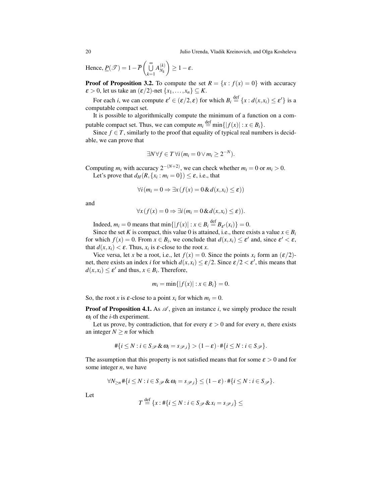20 Julio Urenda, Vladik Kreinovich, and Olga Kosheleva

Hence,  $\underline{P}(\mathscr{T}) = 1 - \overline{P} \begin{pmatrix} \widetilde{\mathbb{U}} \\ \end{pmatrix}$ *k*=1  $A_{N_L}^{(k)}$ *Nk*  $\Big) \geq 1 - \varepsilon.$ 

**Proof of Proposition 3.2.** To compute the set  $R = \{x : f(x) = 0\}$  with accuracy  $\varepsilon > 0$ , let us take an  $(\varepsilon/2)$ -net  $\{x_1, \ldots, x_n\} \subseteq K$ .

For each *i*, we can compute  $\varepsilon' \in (\varepsilon/2, \varepsilon)$  for which  $B_i \stackrel{\text{def}}{=} \{x : d(x, x_i) \le \varepsilon'\}$  is a computable compact set.

It is possible to algorithmically compute the minimum of a function on a computable compact set. Thus, we can compute  $m_i \stackrel{\text{def}}{=} \min\{|f(x)| : x \in B_i\}.$ 

Since  $f \in T$ , similarly to the proof that equality of typical real numbers is decidable, we can prove that

$$
\exists N \forall f \in T \,\forall i \,(m_i = 0 \vee m_i \geq 2^{-N}).
$$

Computing  $m_i$  with accuracy  $2^{-(N+2)}$ , we can check whether  $m_i = 0$  or  $m_i > 0$ . Let's prove that  $d_H(R, \{x_i : m_i = 0\}) \leq \varepsilon$ , i.e., that

$$
\forall i (m_i = 0 \Rightarrow \exists x (f(x) = 0 \& d(x, x_i) \le \varepsilon))
$$

and

$$
\forall x (f(x) = 0 \Rightarrow \exists i (m_i = 0 \& d(x, x_i) \le \varepsilon)).
$$

Indeed,  $m_i = 0$  means that  $\min\{|f(x)| : x \in B_i \stackrel{\text{def}}{=} B_{\varepsilon'}(x_i)\} = 0.$ 

Since the set *K* is compact, this value 0 is attained, i.e., there exists a value  $x \in B_i$ for which  $f(x) = 0$ . From  $x \in B_i$ , we conclude that  $d(x, x_i) \le \varepsilon'$  and, since  $\varepsilon' < \varepsilon$ , that  $d(x, x_i) < \varepsilon$ . Thus,  $x_i$  is  $\varepsilon$ -close to the root *x*.

Vice versa, let *x* be a root, i.e., let  $f(x) = 0$ . Since the points  $x_i$  form an  $(\varepsilon/2)$ net, there exists an index *i* for which  $d(x, x_i) \le \varepsilon/2$ . Since  $\varepsilon/2 < \varepsilon'$ , this means that  $d(x, x_i) \le \varepsilon'$  and thus,  $x \in B_i$ . Therefore,

$$
m_i = \min\{|f(x)| : x \in B_i\} = 0.
$$

So, the root *x* is  $\varepsilon$ -close to a point  $x_i$  for which  $m_i = 0$ .

**Proof of Proposition 4.1.** As  $\mathscr{A}$ , given an instance *i*, we simply produce the result  $\omega_i$  of the *i*-th experiment.

Let us prove, by contradiction, that for every  $\varepsilon > 0$  and for every *n*, there exists an integer  $N \geq n$  for which

$$
\#\{i\leq N : i\in S_{\mathscr{P}}\&\omega_i=s_{\mathscr{P},i}\}>(1-\varepsilon)\cdot\#\{i\leq N : i\in S_{\mathscr{P}}\}.
$$

The assumption that this property is not satisfied means that for some  $\varepsilon > 0$  and for some integer *n*, we have

$$
\forall N_{\geq n} \# \{i \leq N : i \in S_{\mathscr{P}} \& \omega_i = s_{\mathscr{P},i}\} \leq (1-\varepsilon) \cdot \# \{i \leq N : i \in S_{\mathscr{P}}\}.
$$

Let

$$
T \stackrel{\text{def}}{=} \{x : \#\{i \le N : i \in S_{\mathcal{P}} \& x_i = s_{\mathcal{P},i}\} \le
$$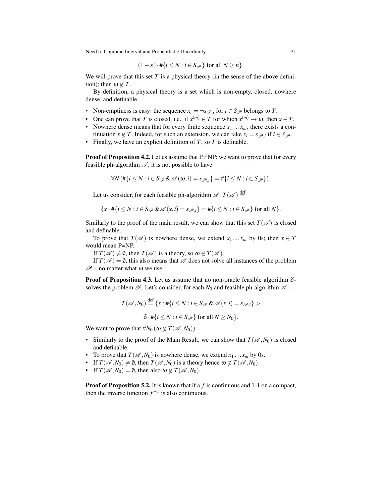$$
(1-\varepsilon)\cdot\#\{i\leq N : i\in S_{\mathscr{P}}\}\text{ for all }N\geq n\}.
$$

We will prove that this set *T* is a physical theory (in the sense of the above definition); then  $\omega \notin T$ .

By definition, a physical theory is a set which is non-empty, closed, nowhere dense, and definable.

- Non-emptiness is easy: the sequence  $x_i = \neg s_{\mathscr{P},i}$  for  $i \in S_{\mathscr{P}}$  belongs to *T*.
- One can prove that *T* is closed, i.e., if  $x^{(m)} \in T$  for which  $x^{(m)} \to \omega$ , then  $x \in T$ .
- Nowhere dense means that for every finite sequence  $x_1 \ldots x_m$ , there exists a continuation *x*  $\notin$  *T*. Indeed, for such an extension, we can take *x*<sub>*i*</sub> = *s*<sub> $\mathcal{P}_i$ , if *i* ∈ *S*<sub> $\mathcal{P}_i$ .</sub></sub>
- Finally, we have an explicit definition of  $T$ , so  $T$  is definable.

**Proof of Proposition 4.2.** Let us assume that  $P \neq NP$ ; we want to prove that for every feasible ph-algorithm  $\mathscr A$ , it is not possible to have

$$
\forall N (\# \{i \leq N : i \in S_{\mathscr{P}} \& \mathscr{A}(\omega, i) = s_{\mathscr{P}, i}\} = # \{i \leq N : i \in S_{\mathscr{P}}\}).
$$

Let us consider, for each feasible ph-algorithm  $\mathscr{A}, T(\mathscr{A}) \stackrel{\text{def}}{=}$ 

$$
\{x: \#\{i\leq N : i\in S_{\mathscr{P}}\&\mathscr{A}(x,i)=s_{\mathscr{P},i}\}=\#\{i\leq N : i\in S_{\mathscr{P}}\}\text{ for all }N\}.
$$

Similarly to the proof of the main result, we can show that this set  $T(\mathscr{A})$  is closed and definable.

To prove that  $T(\mathscr{A})$  is nowhere dense, we extend  $x_1 \dots x_m$  by 0s; then  $x \in T$ would mean P=NP.

If  $T(\mathscr{A}) \neq \emptyset$ , then  $T(\mathscr{A})$  is a theory, so  $\omega \notin T(\mathscr{A})$ .

If  $T(\mathscr{A}) = \emptyset$ , this also means that  $\mathscr A$  does not solve all instances of the problem  $\mathscr{P}$  – no matter what  $\omega$  we use.

**Proof of Proposition 4.3.** Let us assume that no non-oracle feasible algorithm  $\delta$ solves the problem  $\mathscr P$ . Let's consider, for each  $N_0$  and feasible ph-algorithm  $\mathscr A$ ,

$$
T(\mathscr{A}, N_0) \stackrel{\text{def}}{=} \{x : #\{i \le N : i \in S_{\mathscr{P}} \& \mathscr{A}(x, i) = s_{\mathscr{P}, i}\} >
$$

$$
\delta \cdot #\{i \le N : i \in S_{\mathscr{P}}\} \text{ for all } N \ge N_0\}.
$$

We want to prove that  $\forall N_0 \, (\omega \notin T(\mathscr{A}, N_0)).$ 

- Similarly to the proof of the Main Result, we can show that  $T(\mathscr{A}, N_0)$  is closed and definable.
- To prove that  $T(\mathscr{A}, N_0)$  is nowhere dense, we extend  $x_1 \dots x_m$  by 0s.
- If  $T(\mathscr{A}, N_0) \neq \emptyset$ , then  $T(\mathscr{A}, N_0)$  is a theory hence  $\omega \notin T(\mathscr{A}, N_0)$ .
- If  $T(\mathscr{A}, N_0) = \emptyset$ , then also  $\omega \notin T(\mathscr{A}, N_0)$ .

**Proof of Proposition 5.2.** It is known that if a f is continuous and 1-1 on a compact, then the inverse function  $f^{-1}$  is also continuous.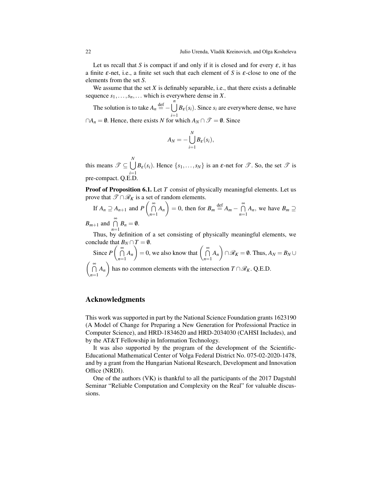Let us recall that *S* is compact if and only if it is closed and for every  $\varepsilon$ , it has a finite ε-net, i.e., a finite set such that each element of *S* is ε-close to one of the elements from the set *S*.

We assume that the set  $X$  is definably separable, i.e., that there exists a definable sequence  $s_1, \ldots, s_n, \ldots$  which is everywhere dense in *X*.

The solution is to take  $A_n \stackrel{\text{def}}{=} - \bigcup_{n=0}^{n}$ *i*=1  $B_{\varepsilon}(s_i)$ . Since  $s_i$  are everywhere dense, we have ∩*A<sub>n</sub>* =  $\emptyset$ . Hence, there exists *N* for which  $A_N \cap \mathcal{T} = \emptyset$ . Since

$$
A_N = -\bigcup_{i=1}^N B_{\varepsilon}(s_i),
$$

this means  $\mathscr{T} \subseteq \bigcup$ *N i*=1 *B*<sub>ε</sub>(*s*<sub>*i*</sub>). Hence {*s*<sub>1</sub>,...,*s*<sub>*N*</sub>} is an  $\varepsilon$ -net for  $\mathscr{T}$ . So, the set  $\mathscr{T}$  is pre-compact. Q.E.D.

**Proof of Proposition 6.1.** Let *T* consist of physically meaningful elements. Let us prove that  $\mathscr{T} \cap \mathscr{R}_K$  is a set of random elements.

If 
$$
A_n \supseteq A_{n+1}
$$
 and  $P\left(\bigcap_{n=1}^{\infty} A_n\right) = 0$ , then for  $B_m \stackrel{\text{def}}{=} A_m - \bigcap_{n=1}^{\infty} A_n$ , we have  $B_m \supseteq A_m \supseteq B_m$ .

*B*<sub>*m*+1</sub> and  $\bigcap^{\infty}$  *B*<sub>*n*</sub> =  $\emptyset$ .

Thus, by definition of a set consisting of physically meaningful elements, we conclude that  $B_N \cap T = \emptyset$ .

Since 
$$
P\left(\bigcap_{n=1}^{\infty} A_n\right) = 0
$$
, we also know that  $\left(\bigcap_{n=1}^{\infty} A_n\right) \cap \mathcal{R}_K = \emptyset$ . Thus,  $A_N = B_N \cup \mathcal{R}_N$ 

 $\bigcap_{i=1}^{\infty}$  $\bigcap_{n=1}^{\infty} A_n$  has no common elements with the intersection *T* ∩  $\mathcal{R}_K$ . Q.E.D.

## Acknowledgments

This work was supported in part by the National Science Foundation grants 1623190 (A Model of Change for Preparing a New Generation for Professional Practice in Computer Science), and HRD-1834620 and HRD-2034030 (CAHSI Includes), and by the AT&T Fellowship in Information Technology.

It was also supported by the program of the development of the Scientific-Educational Mathematical Center of Volga Federal District No. 075-02-2020-1478, and by a grant from the Hungarian National Research, Development and Innovation Office (NRDI).

One of the authors (VK) is thankful to all the participants of the 2017 Dagstuhl Seminar "Reliable Computation and Complexity on the Real" for valuable discussions.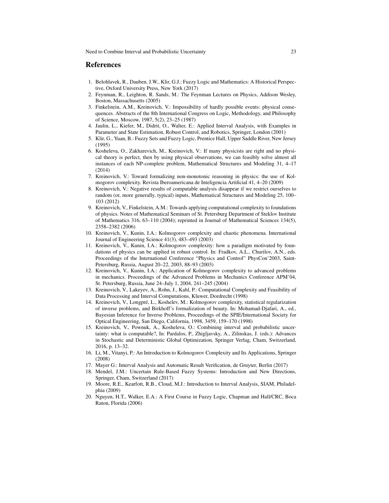#### References

- 1. Belohlavek, R., Dauben, J.W., Klir, G.J.: Fuzzy Logic and Mathematics: A Historical Perspective, Oxford University Press, New York (2017)
- 2. Feynman, R., Leighton, R. Sands, M.: The Feynman Lectures on Physics, Addison Wesley, Boston, Massachusetts (2005)
- 3. Finkelstein, A.M., Kreinovich, V.: Impossibility of hardly possible events: physical consequences. Abstracts of the 8th International Congress on Logic, Methodology, and Philosophy of Science, Moscow, 1987, 5(2), 23–25 (1987)
- 4. Jaulin, L., Kiefer, M., Didrit, O., Walter, E.: Applied Interval Analysis, with Examples in Parameter and State Estimation, Robust Control, and Robotics, Springer, London (2001)
- 5. Klir, G., Yuan, B.: Fuzzy Sets and Fuzzy Logic, Prentice Hall, Upper Saddle River, New Jersey (1995)
- 6. Kosheleva, O., Zakharevich, M., Kreinovich, V.: If many physicists are right and no physical theory is perfect, then by using physical observations, we can feasibly solve almost all instances of each NP-complete problem, Mathematical Structures and Modeling 31, 4–17 (2014)
- 7. Kreinovich, V.: Toward formalizing non-monotonic reasoning in physics: the use of Kolmogorov complexity. Revista Iberoamericana de Inteligencia Artificial 41, 4–20 (2009)
- 8. Kreinovich, V.: Negative results of computable analysis disappear if we restrict ourselves to random (or, more generally, typical) inputs, Mathematical Structures and Modeling 25, 100– 103 (2012)
- 9. Kreinovich, V., Finkelstein, A.M.: Towards applying computational complexity to foundations of physics. Notes of Mathematical Seminars of St. Petersburg Department of Steklov Institute of Mathematics 316, 63–110 (2004); reprinted in Journal of Mathematical Sciences 134(5), 2358–2382 (2006)
- 10. Kreinovich, V., Kunin, I.A.: Kolmogorov complexity and chaotic phenomena. International Journal of Engineering Science 41(3), 483–493 (2003)
- 11. Kreinovich, V., Kunin, I.A.: Kolmogorov complexity: how a paradigm motivated by foundations of physics can be applied in robust control. In: Fradkov, A.L., Churilov, A.N., eds. Proceedings of the International Conference "Physics and Control" PhysCon'2003, Saint-Petersburg, Russia, August 20–22, 2003, 88–93 (2003)
- 12. Kreinovich, V., Kunin, I.A.: Application of Kolmogorov complexity to advanced problems in mechanics. Proceedings of the Advanced Problems in Mechanics Conference APM'04, St. Petersburg, Russia, June 24–July 1, 2004, 241–245 (2004)
- 13. Kreinovich, V., Lakeyev, A., Rohn, J., Kahl, P.: Computational Complexity and Feasibility of Data Processing and Interval Computations, Kluwer, Dordrecht (1998)
- 14. Kreinovich, V., Longpré, L., Koshelev, M.: Kolmogorov complexity, statistical regularization of inverse problems, and Birkhoff's formalization of beauty. In: Mohamad-Djafari, A., ed., Bayesian Inference for Inverse Problems, Proceedings of the SPIE/International Society for Optical Engineering, San Diego, California, 1998, 3459, 159–170 (1998)
- 15. Kreinovich, V., Pownuk, A., Kosheleva, O.: Combining interval and probabilistic uncertainty: what is computable?, In: Pardalos, P., Zhigljavsky, A., Zilinskas, J. (eds.): Advances in Stochastic and Deterministic Global Optimization, Springer Verlag, Cham, Switzerland, 2016, p. 13–32.
- 16. Li, M., Vitanyi, P.: An Introduction to Kolmogorov Complexity and Its Applications, Springer (2008)
- 17. Mayer G.: Interval Analysis and Automatic Result Verification, de Gruyter, Berlin (2017)
- 18. Mendel, J.M.: Uncertain Rule-Based Fuzzy Systems: Introduction and New Directions, Springer, Cham, Switzerland (2017)
- 19. Moore, R.E., Kearfott, R.B., Cloud, M.J.: Introduction to Interval Analysis, SIAM, Philadelphia (2009)
- 20. Nguyen, H.T., Walker, E.A.: A First Course in Fuzzy Logic, Chapman and Hall/CRC, Boca Raton, Florida (2006)